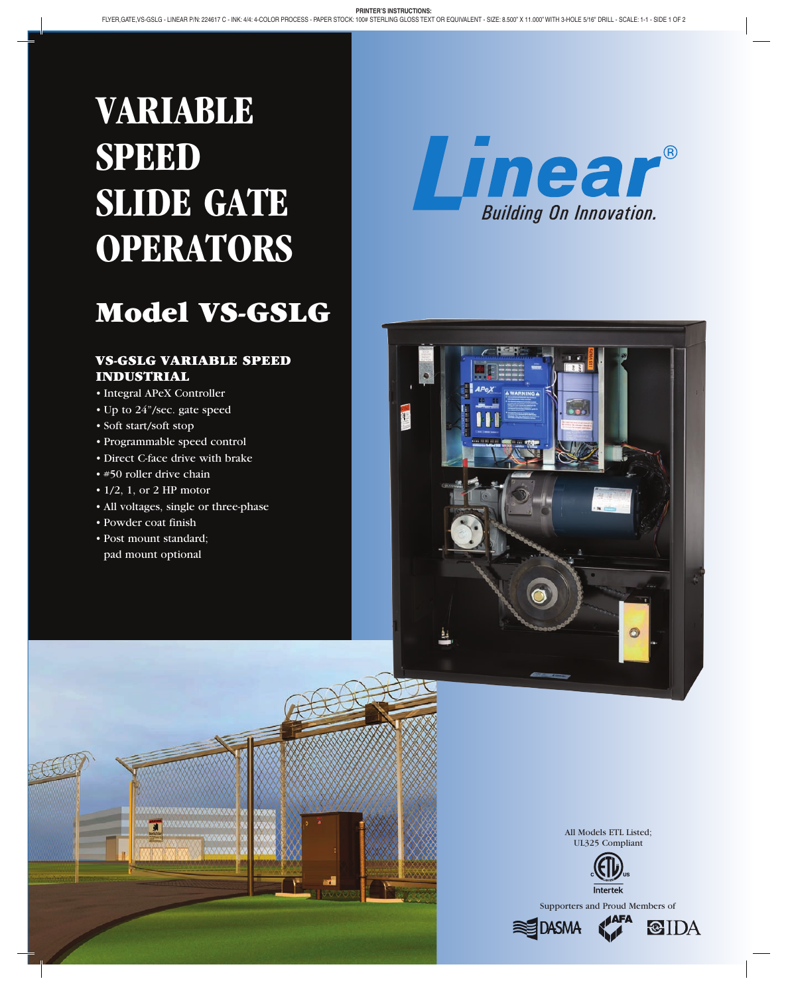# **VARIABLE SPEED SLIDE GATE OPERATORS**

## Model VS-GSLG

#### VS-GSLG VARIABLE SPEED INDUSTRIAL

- • Integral APeX Controller
- Up to 24"/sec. gate speed
- • Soft start/soft stop
- • Programmable speed control
- Direct C-face drive with brake
- #50 roller drive chain
- $\cdot$  1/2, 1, or 2 HP motor
- All voltages, single or three-phase
- • Powder coat finish
- • Post mount standard; pad mount optional







All Models ETL Listed; UL325 Compliant



Supporters and Proud Members of